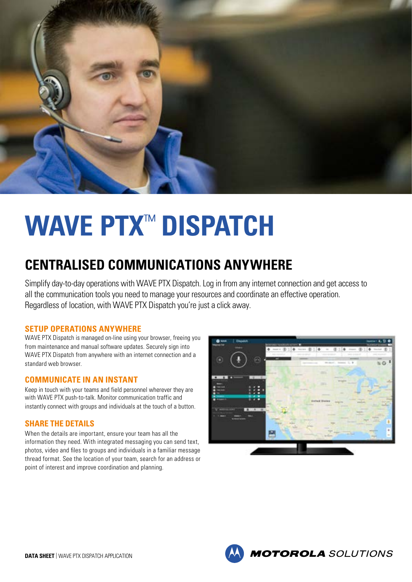

# **WAVE PTX** ™  **DISPATCH**

## **CENTRALISED COMMUNICATIONS ANYWHERE**

Simplify day-to-day operations with WAVE PTX Dispatch. Log in from any internet connection and get access to all the communication tools you need to manage your resources and coordinate an effective operation. Regardless of location, with WAVE PTX Dispatch you're just a click away.

#### **SETUP OPERATIONS ANYWHERE**

WAVE PTX Dispatch is managed on-line using your browser, freeing you from maintenance and manual software updates. Securely sign into WAVE PTX Dispatch from anywhere with an internet connection and a standard web browser.

#### **COMMUNICATE IN AN INSTANT**

Keep in touch with your teams and field personnel wherever they are with WAVE PTX push-to-talk. Monitor communication traffic and instantly connect with groups and individuals at the touch of a button.

#### **SHARE THE DETAILS**

When the details are important, ensure your team has all the information they need. With integrated messaging you can send text, photos, video and files to groups and individuals in a familiar message thread format. See the location of your team, search for an address or point of interest and improve coordination and planning.